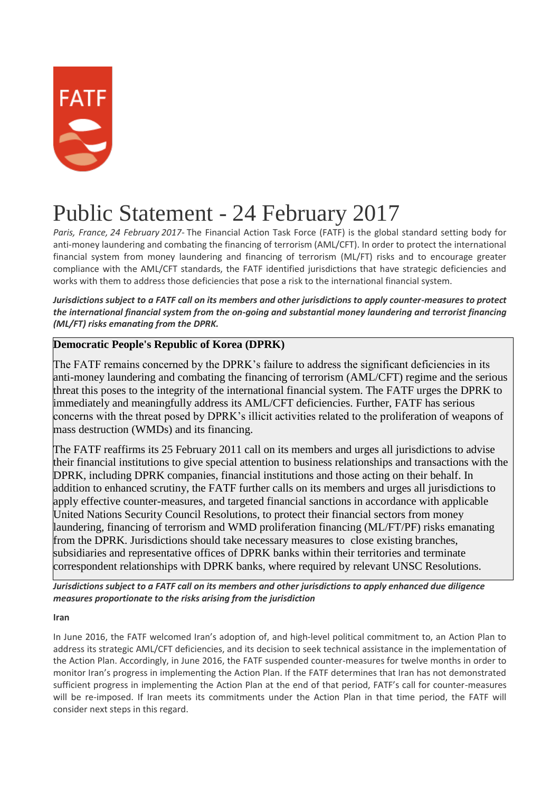

## Public Statement - 24 February 2017

*Paris, France, 24 February 2017-* The Financial Action Task Force (FATF) is the global standard setting body for anti-money laundering and combating the financing of terrorism (AML/CFT). In order to protect the international financial system from money laundering and financing of terrorism (ML/FT) risks and to encourage greater compliance with the AML/CFT standards, the FATF identified jurisdictions that have strategic deficiencies and works with them to address those deficiencies that pose a risk to the international financial system.

*Jurisdictions subject to a FATF call on its members and other jurisdictions to apply counter-measures to protect the international financial system from the on-going and substantial money laundering and terrorist financing (ML/FT) risks emanating from the DPRK.*

## **Democratic People's Republic of Korea (DPRK)**

The FATF remains concerned by the DPRK's failure to address the significant deficiencies in its anti-money laundering and combating the financing of terrorism (AML/CFT) regime and the serious threat this poses to the integrity of the international financial system. The FATF urges the DPRK to immediately and meaningfully address its AML/CFT deficiencies. Further, FATF has serious concerns with the threat posed by DPRK's illicit activities related to the proliferation of weapons of mass destruction (WMDs) and its financing.

The FATF reaffirms its 25 February 2011 call on its members and urges all jurisdictions to advise their financial institutions to give special attention to business relationships and transactions with the DPRK, including DPRK companies, financial institutions and those acting on their behalf. In addition to enhanced scrutiny, the FATF further calls on its members and urges all jurisdictions to apply effective counter-measures, and targeted financial sanctions in accordance with applicable United Nations Security Council Resolutions, to protect their financial sectors from money laundering, financing of terrorism and WMD proliferation financing (ML/FT/PF) risks emanating from the DPRK. Jurisdictions should take necessary measures to close existing branches, subsidiaries and representative offices of DPRK banks within their territories and terminate correspondent relationships with DPRK banks, where required by relevant UNSC Resolutions.

*Jurisdictions subject to a FATF call on its members and other jurisdictions to apply enhanced due diligence measures proportionate to the risks arising from the jurisdiction*

**Iran**

In June 2016, the FATF welcomed Iran's adoption of, and high-level political commitment to, an Action Plan to address its strategic AML/CFT deficiencies, and its decision to seek technical assistance in the implementation of the Action Plan. Accordingly, in June 2016, the FATF suspended counter-measures for twelve months in order to monitor Iran's progress in implementing the Action Plan. If the FATF determines that Iran has not demonstrated sufficient progress in implementing the Action Plan at the end of that period, FATF's call for counter-measures will be re-imposed. If Iran meets its commitments under the Action Plan in that time period, the FATF will consider next steps in this regard.